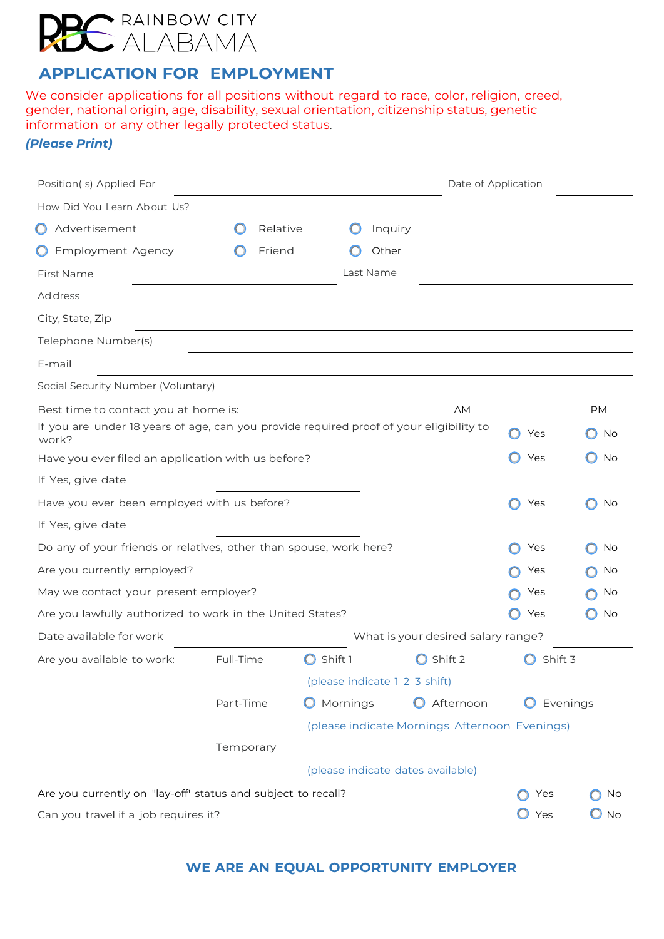

**APPLICATION FOR EMPLOYMENT**

We consider applications for all positions without regard to race, color, religion, creed, gender, national origin, age, disability, sexual orientation, citizenship status, genetic information or any other legally protected status.

*(Please Print)*

| Position(s) Applied For                                                                          |           |          |          |                                   | Date of Application                           |                |           |
|--------------------------------------------------------------------------------------------------|-----------|----------|----------|-----------------------------------|-----------------------------------------------|----------------|-----------|
| How Did You Learn About Us?                                                                      |           |          |          |                                   |                                               |                |           |
| Advertisement<br>$\cup$                                                                          |           | Relative |          | Inquiry                           |                                               |                |           |
| <b>Employment Agency</b>                                                                         |           | Friend   |          | Other                             |                                               |                |           |
| First Name                                                                                       |           |          |          | Last Name                         |                                               |                |           |
| Address                                                                                          |           |          |          |                                   |                                               |                |           |
| City, State, Zip                                                                                 |           |          |          |                                   |                                               |                |           |
| Telephone Number(s)                                                                              |           |          |          |                                   |                                               |                |           |
| E-mail                                                                                           |           |          |          |                                   |                                               |                |           |
| Social Security Number (Voluntary)                                                               |           |          |          |                                   |                                               |                |           |
| Best time to contact you at home is:                                                             |           |          |          |                                   | <b>AM</b>                                     |                | <b>PM</b> |
| If you are under 18 years of age, can you provide required proof of your eligibility to<br>work? |           |          |          |                                   |                                               | Yes<br>O       | No        |
| Have you ever filed an application with us before?                                               |           |          |          |                                   |                                               | Yes            | No        |
| If Yes, give date                                                                                |           |          |          |                                   |                                               |                |           |
| Have you ever been employed with us before?                                                      |           |          |          |                                   |                                               | $\circ$<br>Yes | No        |
| If Yes, give date                                                                                |           |          |          |                                   |                                               |                |           |
| Do any of your friends or relatives, other than spouse, work here?                               |           |          |          |                                   |                                               | Yes            | No        |
| Are you currently employed?                                                                      |           |          |          |                                   |                                               | Yes            | No        |
| May we contact your present employer?                                                            |           |          |          |                                   |                                               | Yes            | No        |
| Are you lawfully authorized to work in the United States?                                        |           |          |          |                                   |                                               | Yes            | No        |
| Date available for work                                                                          |           |          |          |                                   | What is your desired salary range?            |                |           |
| Are you available to work:                                                                       | Full-Time |          | Shift 1  |                                   | Shift 2                                       | Shift 3        |           |
|                                                                                                  |           |          |          | (please indicate 1 2 3 shift)     |                                               |                |           |
|                                                                                                  | Part-Time |          | Mornings |                                   | Afternoon                                     |                | Evenings  |
|                                                                                                  |           |          |          |                                   | (please indicate Mornings Afternoon Evenings) |                |           |
|                                                                                                  | Temporary |          |          |                                   |                                               |                |           |
|                                                                                                  |           |          |          | (please indicate dates available) |                                               |                |           |
| Are you currently on "lay-off' status and subject to recall?                                     |           |          |          |                                   |                                               | Yes            | No        |
| Can you travel if a job requires it?                                                             |           |          |          |                                   |                                               | Yes            | $\Box$ No |

### **WE ARE AN EQUAL OPPORTUNITY EMPLOYER**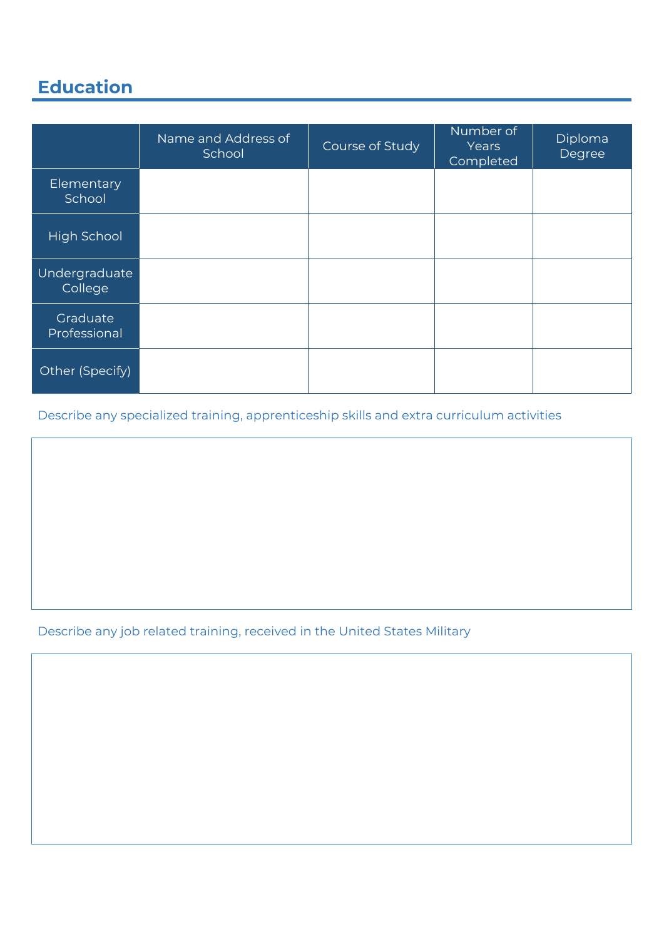# **Education**

|                          | Name and Address of<br>School | Course of Study | Number of<br>Years<br>Completed | Diploma<br>Degree |
|--------------------------|-------------------------------|-----------------|---------------------------------|-------------------|
| Elementary<br>School     |                               |                 |                                 |                   |
| <b>High School</b>       |                               |                 |                                 |                   |
| Undergraduate<br>College |                               |                 |                                 |                   |
| Graduate<br>Professional |                               |                 |                                 |                   |
| Other (Specify)          |                               |                 |                                 |                   |

Describe any specialized training, apprenticeship skills and extra curriculum activities

Describe any job related training, received in the United States Military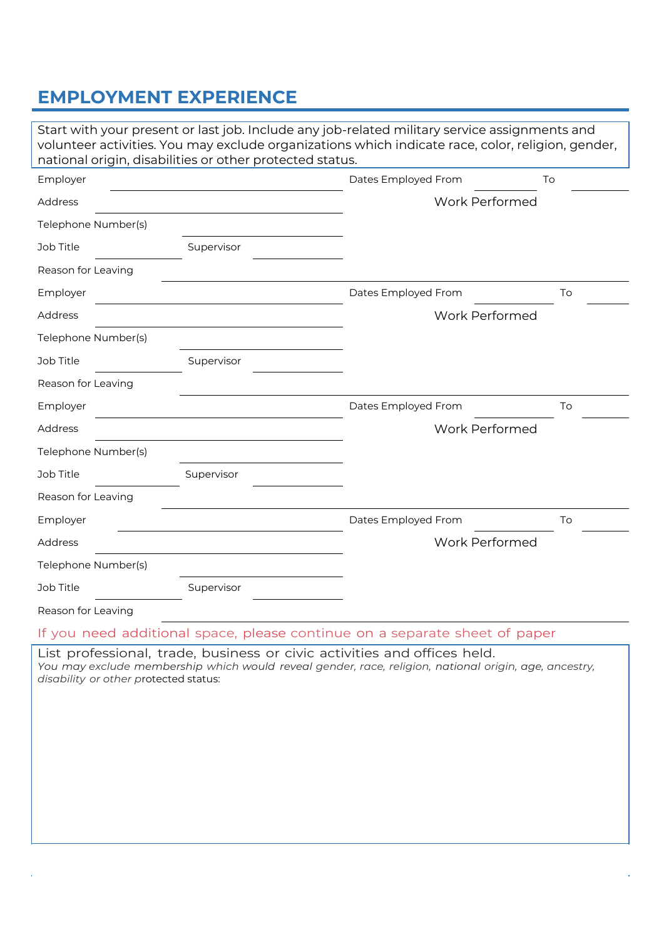## **EMPLOYMENT EXPERIENCE**

| national origin, disabilities or other protected status. |            | Start with your present or last job. Include any job-related military service assignments and<br>volunteer activities. You may exclude organizations which indicate race, color, religion, gender, |    |
|----------------------------------------------------------|------------|----------------------------------------------------------------------------------------------------------------------------------------------------------------------------------------------------|----|
| Employer                                                 |            | Dates Employed From                                                                                                                                                                                | To |
| Address                                                  |            | Work Performed                                                                                                                                                                                     |    |
| Telephone Number(s)                                      |            |                                                                                                                                                                                                    |    |
| Job Title                                                | Supervisor |                                                                                                                                                                                                    |    |
| Reason for Leaving                                       |            |                                                                                                                                                                                                    |    |
| Employer                                                 |            | Dates Employed From                                                                                                                                                                                | To |
| Address                                                  |            | <b>Work Performed</b>                                                                                                                                                                              |    |
| Telephone Number(s)                                      |            |                                                                                                                                                                                                    |    |
| Job Title                                                | Supervisor |                                                                                                                                                                                                    |    |
| Reason for Leaving                                       |            |                                                                                                                                                                                                    |    |
| Employer                                                 |            | Dates Employed From                                                                                                                                                                                | To |
| Address                                                  |            | <b>Work Performed</b>                                                                                                                                                                              |    |
| Telephone Number(s)                                      |            |                                                                                                                                                                                                    |    |
| Job Title                                                | Supervisor |                                                                                                                                                                                                    |    |
| Reason for Leaving                                       |            |                                                                                                                                                                                                    |    |
| Employer                                                 |            | Dates Employed From                                                                                                                                                                                | To |
| Address                                                  |            | <b>Work Performed</b>                                                                                                                                                                              |    |
| Telephone Number(s)                                      |            |                                                                                                                                                                                                    |    |
| Job Title                                                | Supervisor |                                                                                                                                                                                                    |    |
| Reason for Leaving                                       |            |                                                                                                                                                                                                    |    |
| the contract of the contract of the first of             |            |                                                                                                                                                                                                    |    |

If you need additional space, please continue on a separate sheet of paper

List professional, trade, business or civic activities and offices held. *You may exclude membership which would reveal gender, race, religion, national origin, age, ancestry, disability or other p*rotected status: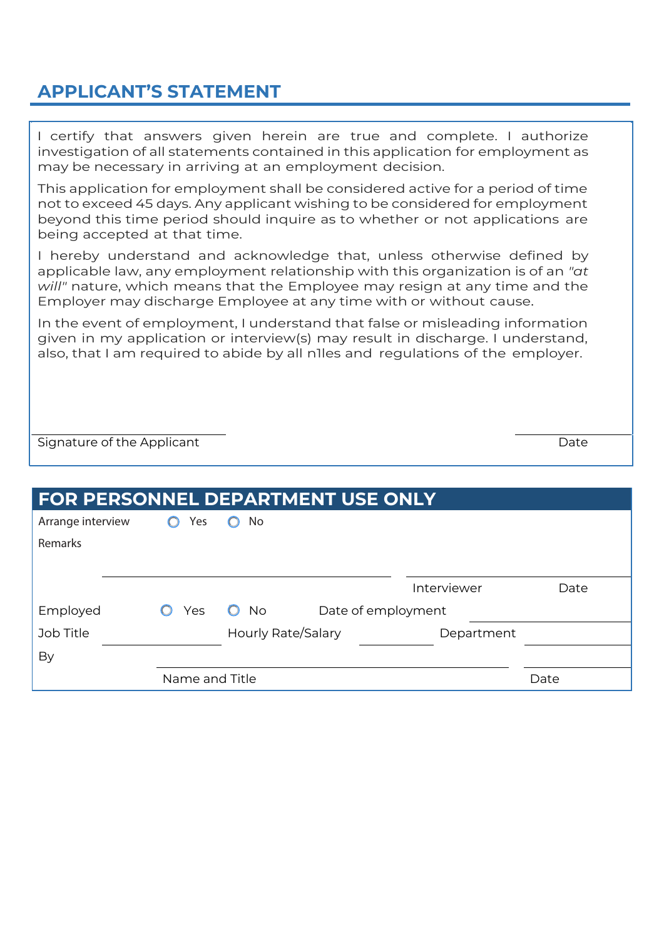## **APPLICANT'S STATEMENT**

I certify that answers given herein are true and complete. I authorize investigation of all statements contained in this application for employment as may be necessary in arriving at an employment decision.

This application for employment shall be considered active for a period of time not to exceed 45 days. Any applicant wishing to be considered for employment beyond this time period should inquire as to whether or not applications are being accepted at that time.

I hereby understand and acknowledge that, unless otherwise defined by applicable law, any employment relationship with this organization is of an *"at will"* nature, which means that the Employee may resign at any time and the Employer may discharge Employee at any time with or without cause.

In the event of employment, I understand that false or misleading information given in my application or interview(s) may result in discharge. I understand, also, that I am required to abide by all n1les and regulations of the employer.

Signature of the Applicant Date of the Applicant Date of the Applicant Date of the Date of the Applicant Date

| <b>FOR PERSONNEL DEPARTMENT USE ONLY</b> |                |                           |                    |             |      |
|------------------------------------------|----------------|---------------------------|--------------------|-------------|------|
| Arrange interview                        | Yes            | No                        |                    |             |      |
| Remarks                                  |                |                           |                    |             |      |
|                                          |                |                           |                    |             |      |
|                                          |                |                           |                    | Interviewer | Date |
| Employed                                 | Yes            | <b>No</b>                 | Date of employment |             |      |
| Job Title                                |                | <b>Hourly Rate/Salary</b> |                    | Department  |      |
| By                                       |                |                           |                    |             |      |
|                                          | Name and Title |                           |                    |             | Date |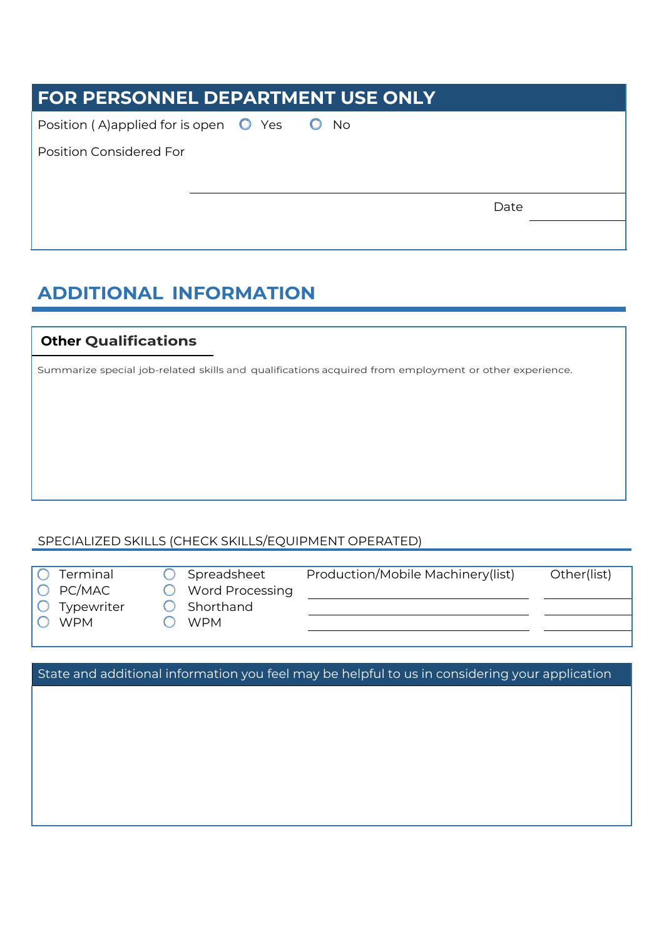| <b>FOR PERSONNEL DEPARTMENT USE ONLY</b>                |           |      |  |  |
|---------------------------------------------------------|-----------|------|--|--|
| Position (A)applied for is open $\bullet$ Yes $\bullet$ | <b>No</b> |      |  |  |
| <b>Position Considered For</b>                          |           |      |  |  |
|                                                         |           | Date |  |  |
|                                                         |           |      |  |  |

## **ADDITIONAL INFORMATION**

### **Other Qualifications**

Summarize special job-related skills and qualifications acquired from employment or other experience.

#### SPECIALIZED SKILLS (CHECK SKILLS/EQUIPMENT OPERATED)

|  | Termina |
|--|---------|
|  |         |
|  |         |
|  |         |

O PC/MAC O Word Processing

 $O$  Typewriter  $O$  Shorthand

O WPM O WPM

al **O** Spreadsheet Production/Mobile Machinery(list) Other(list)

State and additional information you feel may be helpful to us in considering your application